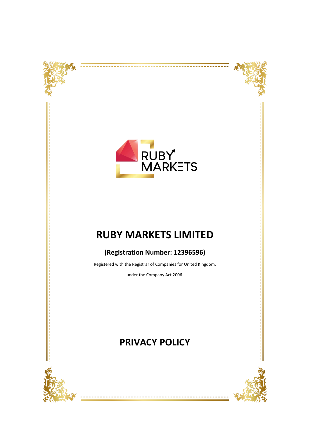





---------

# **RUBY MARKETS LIMITED**

### **(Registration Number: 12396596)**

Registered with the Registrar of Companies for United Kingdom,

under the Company Act 2006.

## **PRIVACY POLICY**



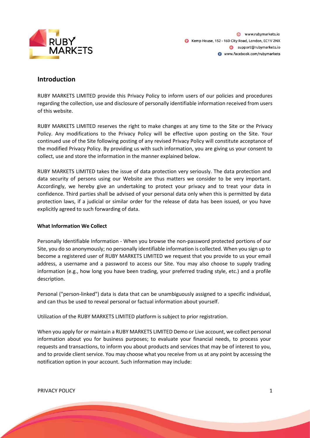

### **Introduction**

RUBY MARKETS LIMITED provide this Privacy Policy to inform users of our policies and procedures regarding the collection, use and disclosure of personally identifiable information received from users of this website.

RUBY MARKETS LIMITED reserves the right to make changes at any time to the Site or the Privacy Policy. Any modifications to the Privacy Policy will be effective upon posting on the Site. Your continued use of the Site following posting of any revised Privacy Policy will constitute acceptance of the modified Privacy Policy. By providing us with such information, you are giving us your consent to collect, use and store the information in the manner explained below.

RUBY MARKETS LIMITED takes the issue of data protection very seriously. The data protection and data security of persons using our Website are thus matters we consider to be very important. Accordingly, we hereby give an undertaking to protect your privacy and to treat your data in confidence. Third parties shall be advised of your personal data only when this is permitted by data protection laws, if a judicial or similar order for the release of data has been issued, or you have explicitly agreed to such forwarding of data.

#### **What Information We Collect**

Personally Identifiable Information - When you browse the non-password protected portions of our Site, you do so anonymously; no personally identifiable information is collected. When you sign up to become a registered user of RUBY MARKETS LIMITED we request that you provide to us your email address, a username and a password to access our Site. You may also choose to supply trading information (e.g., how long you have been trading, your preferred trading style, etc.) and a profile description.

Personal ("person-linked") data is data that can be unambiguously assigned to a specific individual, and can thus be used to reveal personal or factual information about yourself.

Utilization of the RUBY MARKETS LIMITED platform is subject to prior registration.

When you apply for or maintain a RUBY MARKETS LIMITED Demo or Live account, we collect personal information about you for business purposes; to evaluate your financial needs, to process your requests and transactions, to inform you about products and services that may be of interest to you, and to provide client service. You may choose what you receive from us at any point by accessing the notification option in your account. Such information may include:

PRIVACY POLICY 2008 12 A 2009 12:00 12:00 12:00 12:00 12:00 12:00 12:00 12:00 12:00 12:00 12:00 12:00 12:00 12:00 12:00 12:00 12:00 12:00 12:00 12:00 12:00 12:00 12:00 12:00 12:00 12:00 12:00 12:00 12:00 12:00 12:00 12:00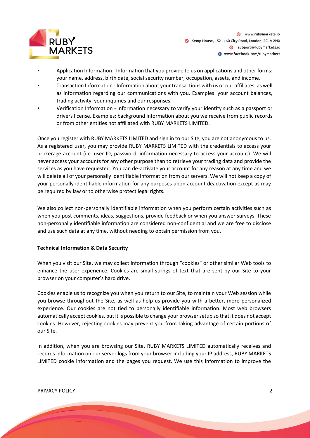

www.rubymarkets.io Kemp House, 152 - 160 City Road, London, EC1V 2NX Support@rubymarkets.io www.facebook.com/rubymarkets

- Application Information Information that you provide to us on applications and other forms: your name, address, birth date, social security number, occupation, assets, and income.
- Transaction Information Information about your transactions with us or our affiliates, as well as information regarding our communications with you. Examples: your account balances, trading activity, your inquiries and our responses.
- Verification Information Information necessary to verify your identity such as a passport or drivers license. Examples: background information about you we receive from public records or from other entities not affiliated with RUBY MARKETS LIMITED.

Once you register with RUBY MARKETS LIMITED and sign in to our Site, you are not anonymous to us. As a registered user, you may provide RUBY MARKETS LIMITED with the credentials to access your brokerage account (i.e. user ID, password, information necessary to access your account). We will never access your accounts for any other purpose than to retrieve your trading data and provide the services as you have requested. You can de-activate your account for any reason at any time and we will delete all of your personally identifiable information from our servers. We will not keep a copy of your personally identifiable information for any purposes upon account deactivation except as may be required by law or to otherwise protect legal rights.

We also collect non-personally identifiable information when you perform certain activities such as when you post comments, ideas, suggestions, provide feedback or when you answer surveys. These non-personally identifiable information are considered non-confidential and we are free to disclose and use such data at any time, without needing to obtain permission from you.

#### **Technical Information & Data Security**

When you visit our Site, we may collect information through "cookies" or other similar Web tools to enhance the user experience. Cookies are small strings of text that are sent by our Site to your browser on your computer's hard drive.

Cookies enable us to recognize you when you return to our Site, to maintain your Web session while you browse throughout the Site, as well as help us provide you with a better, more personalized experience. Our cookies are not tied to personally identifiable information. Most web browsers automatically accept cookies, but it is possible to change your browser setup so that it does not accept cookies. However, rejecting cookies may prevent you from taking advantage of certain portions of our Site.

In addition, when you are browsing our Site, RUBY MARKETS LIMITED automatically receives and records information on our server logs from your browser including your IP address, RUBY MARKETS LIMITED cookie information and the pages you request. We use this information to improve the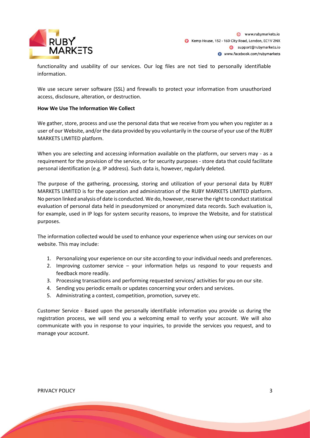

functionality and usability of our services. Our log files are not tied to personally identifiable information.

We use secure server software (SSL) and firewalls to protect your information from unauthorized access, disclosure, alteration, or destruction.

#### **How We Use The Information We Collect**

We gather, store, process and use the personal data that we receive from you when you register as a user of our Website, and/or the data provided by you voluntarily in the course of your use of the RUBY MARKETS LIMITED platform.

When you are selecting and accessing information available on the platform, our servers may - as a requirement for the provision of the service, or for security purposes - store data that could facilitate personal identification (e.g. IP address). Such data is, however, regularly deleted.

The purpose of the gathering, processing, storing and utilization of your personal data by RUBY MARKETS LIMITED is for the operation and administration of the RUBY MARKETS LIMITED platform. No person linked analysis of date is conducted. We do, however, reserve the right to conduct statistical evaluation of personal data held in pseudonymized or anonymized data records. Such evaluation is, for example, used in IP logs for system security reasons, to improve the Website, and for statistical purposes.

The information collected would be used to enhance your experience when using our services on our website. This may include:

- 1. Personalizing your experience on our site according to your individual needs and preferences.
- 2. Improving customer service your information helps us respond to your requests and feedback more readily.
- 3. Processing transactions and performing requested services/ activities for you on our site.
- 4. Sending you periodic emails or updates concerning your orders and services.
- 5. Administrating a contest, competition, promotion, survey etc.

Customer Service - Based upon the personally identifiable information you provide us during the registration process, we will send you a welcoming email to verify your account. We will also communicate with you in response to your inquiries, to provide the services you request, and to manage your account.

PRIVACY POLICY 3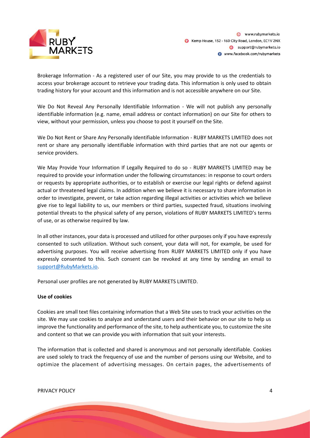

Brokerage Information - As a registered user of our Site, you may provide to us the credentials to access your brokerage account to retrieve your trading data. This information is only used to obtain trading history for your account and this information and is not accessible anywhere on our Site.

We Do Not Reveal Any Personally Identifiable Information - We will not publish any personally identifiable information (e.g. name, email address or contact information) on our Site for others to view, without your permission, unless you choose to post it yourself on the Site.

We Do Not Rent or Share Any Personally Identifiable Information - RUBY MARKETS LIMITED does not rent or share any personally identifiable information with third parties that are not our agents or service providers.

We May Provide Your Information If Legally Required to do so - RUBY MARKETS LIMITED may be required to provide your information under the following circumstances: in response to court orders or requests by appropriate authorities, or to establish or exercise our legal rights or defend against actual or threatened legal claims. In addition when we believe it is necessary to share information in order to investigate, prevent, or take action regarding illegal activities or activities which we believe give rise to legal liability to us, our members or third parties, suspected fraud, situations involving potential threats to the physical safety of any person, violations of RUBY MARKETS LIMITED's terms of use, or as otherwise required by law.

In all other instances, your data is processed and utilized for other purposes only if you have expressly consented to such utilization. Without such consent, your data will not, for example, be used for advertising purposes. You will receive advertising from RUBY MARKETS LIMITED only if you have expressly consented to this. Such consent can be revoked at any time by sending an email to [support@RubyMarkets.io.](mailto:support@RubyMarkets.io)

Personal user profiles are not generated by RUBY MARKETS LIMITED.

#### **Use of cookies**

Cookies are small text files containing information that a Web Site uses to track your activities on the site. We may use cookies to analyze and understand users and their behavior on our site to help us improve the functionality and performance of the site, to help authenticate you, to customize the site and content so that we can provide you with information that suit your interests.

The information that is collected and shared is anonymous and not personally identifiable. Cookies are used solely to track the frequency of use and the number of persons using our Website, and to optimize the placement of advertising messages. On certain pages, the advertisements of

PRIVACY POLICY 4 and 20 years and 20 years and 20 years and 20 years and 20 years and 20 years and 20 years and 20 years and 20 years and 20 years and 20 years and 20 years and 20 years and 20 years and 20 years and 20 yea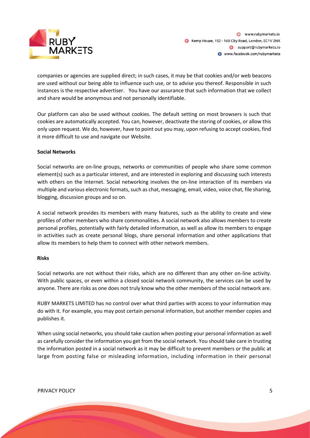

companies or agencies are supplied direct; in such cases, it may be that cookies and/or web beacons are used without our being able to influence such use, or to advise you thereof. Responsible in such instances is the respective advertiser. You have our assurance that such information that we collect and share would be anonymous and not personally identifiable.

Our platform can also be used without cookies. The default setting on most browsers is such that cookies are automatically accepted. You can, however, deactivate the storing of cookies, or allow this only upon request. We do, however, have to point out you may, upon refusing to accept cookies, find it more difficult to use and navigate our Website.

#### **Social Networks**

Social networks are on-line groups, networks or communities of people who share some common element(s) such as a particular interest, and are interested in exploring and discussing such interests with others on the Internet. Social networking involves the on-line interaction of its members via multiple and various electronic formats, such as chat, messaging, email, video, voice chat, file sharing, blogging, discussion groups and so on.

A social network provides its members with many features, such as the ability to create and view profiles of other members who share commonalities. A social network also allows members to create personal profiles, potentially with fairly detailed information, as well as allow its members to engage in activities such as create personal blogs, share personal information and other applications that allow its members to help them to connect with other network members.

#### **Risks**

Social networks are not without their risks, which are no different than any other on-line activity. With public spaces, or even within a closed social network community, the services can be used by anyone. There are risks as one does not truly know who the other members of the social network are.

RUBY MARKETS LIMITED has no control over what third parties with access to your information may do with it. For example, you may post certain personal information, but another member copies and publishes it.

When using social networks, you should take caution when posting your personal information as well as carefully consider the information you get from the social network. You should take care in trusting the information posted in a social network as it may be difficult to prevent members or the public at large from posting false or misleading information, including information in their personal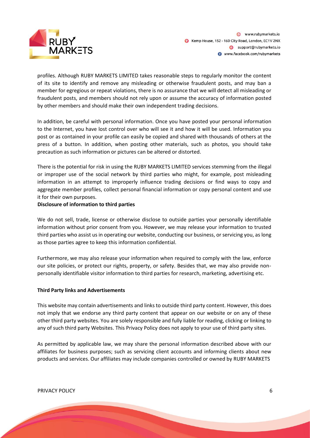

profiles. Although RUBY MARKETS LIMITED takes reasonable steps to regularly monitor the content of its site to identify and remove any misleading or otherwise fraudulent posts, and may ban a member for egregious or repeat violations, there is no assurance that we will detect all misleading or fraudulent posts, and members should not rely upon or assume the accuracy of information posted by other members and should make their own independent trading decisions.

In addition, be careful with personal information. Once you have posted your personal information to the Internet, you have lost control over who will see it and how it will be used. Information you post or as contained in your profile can easily be copied and shared with thousands of others at the press of a button. In addition, when posting other materials, such as photos, you should take precaution as such information or pictures can be altered or distorted.

There is the potential for risk in using the RUBY MARKETS LIMITED services stemming from the illegal or improper use of the social network by third parties who might, for example, post misleading information in an attempt to improperly influence trading decisions or find ways to copy and aggregate member profiles, collect personal financial information or copy personal content and use it for their own purposes.

#### **Disclosure of information to third parties**

We do not sell, trade, license or otherwise disclose to outside parties your personally identifiable information without prior consent from you. However, we may release your information to trusted third parties who assist us in operating our website, conducting our business, or servicing you, as long as those parties agree to keep this information confidential.

Furthermore, we may also release your information when required to comply with the law, enforce our site policies, or protect our rights, property, or safety. Besides that, we may also provide nonpersonally identifiable visitor information to third parties for research, marketing, advertising etc.

#### **Third Party links and Advertisements**

This website may contain advertisements and links to outside third party content. However, this does not imply that we endorse any third party content that appear on our website or on any of these other third party websites. You are solely responsible and fully liable for reading, clicking or linking to any of such third party Websites. This Privacy Policy does not apply to your use of third party sites.

As permitted by applicable law, we may share the personal information described above with our affiliates for business purposes; such as servicing client accounts and informing clients about new products and services. Our affiliates may include companies controlled or owned by RUBY MARKETS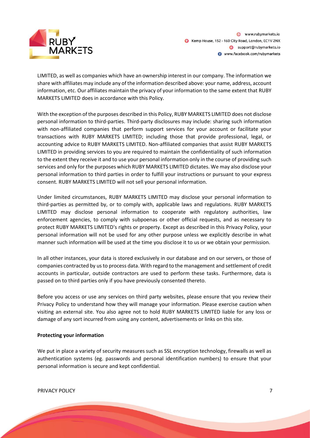

LIMITED, as well as companies which have an ownership interest in our company. The information we share with affiliates may include any of the information described above: your name, address, account information, etc. Our affiliates maintain the privacy of your information to the same extent that RUBY MARKETS LIMITED does in accordance with this Policy.

With the exception of the purposes described in this Policy, RUBY MARKETS LIMITED does not disclose personal information to third-parties. Third-party disclosures may include: sharing such information with non-affiliated companies that perform support services for your account or facilitate your transactions with RUBY MARKETS LIMITED; including those that provide professional, legal, or accounting advice to RUBY MARKETS LIMITED. Non-affiliated companies that assist RUBY MARKETS LIMITED in providing services to you are required to maintain the confidentiality of such information to the extent they receive it and to use your personal information only in the course of providing such services and only for the purposes which RUBY MARKETS LIMITED dictates. We may also disclose your personal information to third parties in order to fulfill your instructions or pursuant to your express consent. RUBY MARKETS LIMITED will not sell your personal information.

Under limited circumstances, RUBY MARKETS LIMITED may disclose your personal information to third-parties as permitted by, or to comply with, applicable laws and regulations. RUBY MARKETS LIMITED may disclose personal information to cooperate with regulatory authorities, law enforcement agencies, to comply with subpoenas or other official requests, and as necessary to protect RUBY MARKETS LIMITED's rights or property. Except as described in this Privacy Policy, your personal information will not be used for any other purpose unless we explicitly describe in what manner such information will be used at the time you disclose it to us or we obtain your permission.

In all other instances, your data is stored exclusively in our database and on our servers, or those of companies contracted by us to process data. With regard to the management and settlement of credit accounts in particular, outside contractors are used to perform these tasks. Furthermore, data is passed on to third parties only if you have previously consented thereto.

Before you access or use any services on third party websites, please ensure that you review their Privacy Policy to understand how they will manage your information. Please exercise caution when visiting an external site. You also agree not to hold RUBY MARKETS LIMITED liable for any loss or damage of any sort incurred from using any content, advertisements or links on this site.

#### **Protecting your information**

We put in place a variety of security measures such as SSL encryption technology, firewalls as well as authentication systems (eg. passwords and personal identification numbers) to ensure that your personal information is secure and kept confidential.

PRIVACY POLICY 7